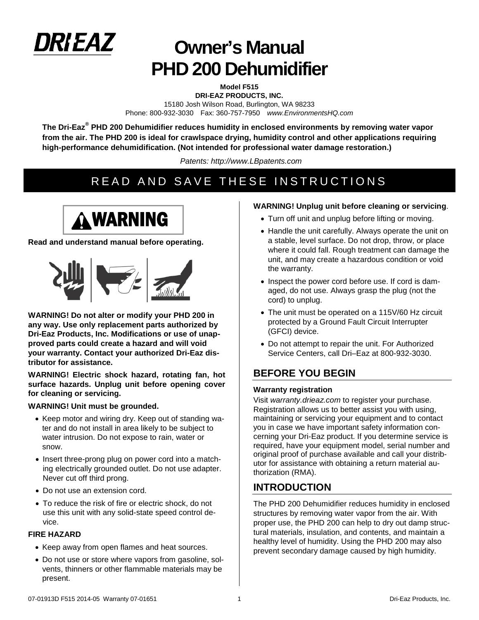

# **Owner's Manual PHD 200 Dehumidifier**

**Model F515 DRI-EAZ PRODUCTS, INC.**  15180 Josh Wilson Road, Burlington, WA 98233 Phone: 800-932-3030 Fax: 360-757-7950 *www.EnvironmentsHQ.com*

**The Dri-Eaz® PHD 200 Dehumidifier reduces humidity in enclosed environments by removing water vapor from the air. The PHD 200 is ideal for crawlspace drying, humidity control and other applications requiring high-performance dehumidification. (Not intended for professional water damage restoration.)**

*Patents: http://www.LBpatents.com*

# READ AND SAVE THESE INSTRUCTIONS



#### **Read and understand manual before operating.**



**WARNING! Do not alter or modify your PHD 200 in any way. Use only replacement parts authorized by Dri-Eaz Products, Inc. Modifications or use of unapproved parts could create a hazard and will void your warranty. Contact your authorized Dri-Eaz distributor for assistance.**

**WARNING! Electric shock hazard, rotating fan, hot surface hazards. Unplug unit before opening cover for cleaning or servicing.**

#### **WARNING! Unit must be grounded.**

- Keep motor and wiring dry. Keep out of standing water and do not install in area likely to be subject to water intrusion. Do not expose to rain, water or snow.
- Insert three-prong plug on power cord into a matching electrically grounded outlet. Do not use adapter. Never cut off third prong.
- Do not use an extension cord.
- To reduce the risk of fire or electric shock, do not use this unit with any solid-state speed control device.

#### **FIRE HAZARD**

- Keep away from open flames and heat sources.
- Do not use or store where vapors from gasoline, solvents, thinners or other flammable materials may be present.

#### **WARNING! Unplug unit before cleaning or servicing**.

- Turn off unit and unplug before lifting or moving.
- Handle the unit carefully. Always operate the unit on a stable, level surface. Do not drop, throw, or place where it could fall. Rough treatment can damage the unit, and may create a hazardous condition or void the warranty.
- Inspect the power cord before use. If cord is damaged, do not use. Always grasp the plug (not the cord) to unplug.
- The unit must be operated on a 115V/60 Hz circuit protected by a Ground Fault Circuit Interrupter (GFCI) device.
- Do not attempt to repair the unit. For Authorized Service Centers, call Dri–Eaz at 800-932-3030.

## **BEFORE YOU BEGIN**

#### **Warranty registration**

Visit *warranty.drieaz.com* to register your purchase. Registration allows us to better assist you with using, maintaining or servicing your equipment and to contact you in case we have important safety information concerning your Dri-Eaz product. If you determine service is required, have your equipment model, serial number and original proof of purchase available and call your distributor for assistance with obtaining a return material authorization (RMA).

## **INTRODUCTION**

The PHD 200 Dehumidifier reduces humidity in enclosed structures by removing water vapor from the air. With proper use, the PHD 200 can help to dry out damp structural materials, insulation, and contents, and maintain a healthy level of humidity. Using the PHD 200 may also prevent secondary damage caused by high humidity.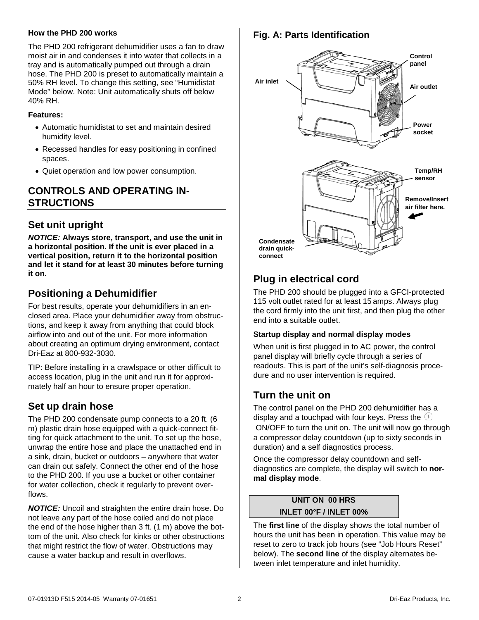#### **How the PHD 200 works**

The PHD 200 refrigerant dehumidifier uses a fan to draw moist air in and condenses it into water that collects in a tray and is automatically pumped out through a drain hose. The PHD 200 is preset to automatically maintain a 50% RH level. To change this setting, see "Humidistat Mode" below. Note: Unit automatically shuts off below 40% RH.

#### **Features:**

- Automatic humidistat to set and maintain desired humidity level.
- Recessed handles for easy positioning in confined spaces.
- Quiet operation and low power consumption.

## **CONTROLS AND OPERATING IN-STRUCTIONS**

## **Set unit upright**

*NOTICE:* **Always store, transport, and use the unit in a horizontal position. If the unit is ever placed in a vertical position, return it to the horizontal position and let it stand for at least 30 minutes before turning it on.** 

## **Positioning a Dehumidifier**

For best results, operate your dehumidifiers in an enclosed area. Place your dehumidifier away from obstructions, and keep it away from anything that could block airflow into and out of the unit. For more information about creating an optimum drying environment, contact Dri-Eaz at 800-932-3030.

TIP: Before installing in a crawlspace or other difficult to access location, plug in the unit and run it for approximately half an hour to ensure proper operation.

## **Set up drain hose**

The PHD 200 condensate pump connects to a 20 ft. (6 m) plastic drain hose equipped with a quick-connect fitting for quick attachment to the unit. To set up the hose, unwrap the entire hose and place the unattached end in a sink, drain, bucket or outdoors – anywhere that water can drain out safely. Connect the other end of the hose to the PHD 200. If you use a bucket or other container for water collection, check it regularly to prevent overflows.

*NOTICE:* Uncoil and straighten the entire drain hose. Do not leave any part of the hose coiled and do not place the end of the hose higher than 3 ft. (1 m) above the bottom of the unit. Also check for kinks or other obstructions that might restrict the flow of water. Obstructions may cause a water backup and result in overflows.

### **Fig. A: Parts Identification**



# **Plug in electrical cord**

The PHD 200 should be plugged into a GFCI-protected 115 volt outlet rated for at least 15 amps. Always plug the cord firmly into the unit first, and then plug the other end into a suitable outlet.

#### **Startup display and normal display modes**

When unit is first plugged in to AC power, the control panel display will briefly cycle through a series of readouts. This is part of the unit's self-diagnosis procedure and no user intervention is required.

## **Turn the unit on**

The control panel on the PHD 200 dehumidifier has a display and a touchpad with four keys. Press the  $\mathbb U$ ON/OFF to turn the unit on. The unit will now go through a compressor delay countdown (up to sixty seconds in duration) and a self diagnostics process.

Once the compressor delay countdown and selfdiagnostics are complete, the display will switch to **normal display mode**.

## **UNIT ON 00 HRS INLET 00°F / INLET 00%**

The **first line** of the display shows the total number of hours the unit has been in operation. This value may be reset to zero to track job hours (see "Job Hours Reset" below). The **second line** of the display alternates between inlet temperature and inlet humidity.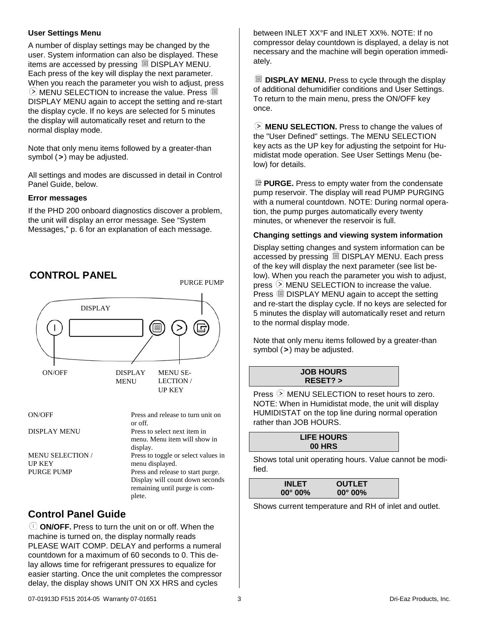#### **User Settings Menu**

A number of display settings may be changed by the user. System information can also be displayed. These items are accessed by pressing DISPLAY MENU. Each press of the key will display the next parameter. When you reach the parameter you wish to adjust, press  $\odot$  MENU SELECTION to increase the value. Press  $\Box$ DISPLAY MENU again to accept the setting and re-start the display cycle. If no keys are selected for 5 minutes the display will automatically reset and return to the normal display mode.

Note that only menu items followed by a greater-than symbol (**>**) may be adjusted.

All settings and modes are discussed in detail in Control Panel Guide, below.

#### **Error messages**

If the PHD 200 onboard diagnostics discover a problem, the unit will display an error message. See "System Messages," p. [6](#page-5-0) for an explanation of each message.



## **Control Panel Guide**

**ON/OFF.** Press to turn the unit on or off. When the machine is turned on, the display normally reads PLEASE WAIT COMP. DELAY and performs a numeral countdown for a maximum of 60 seconds to 0. This delay allows time for refrigerant pressures to equalize for easier starting. Once the unit completes the compressor delay, the display shows UNIT ON XX HRS and cycles

between INLET XX°F and INLET XX%. NOTE: If no compressor delay countdown is displayed, a delay is not necessary and the machine will begin operation immediately.

**DISPLAY MENU.** Press to cycle through the display of additional dehumidifier conditions and User Settings. To return to the main menu, press the ON/OFF key once.

**MENU SELECTION.** Press to change the values of the "User Defined" settings. The MENU SELECTION key acts as the UP key for adjusting the setpoint for Humidistat mode operation. See User Settings Menu (below) for details.

**PURGE.** Press to empty water from the condensate pump reservoir. The display will read PUMP PURGING with a numeral countdown. NOTE: During normal operation, the pump purges automatically every twenty minutes, or whenever the reservoir is full.

#### **Changing settings and viewing system information**

Display setting changes and system information can be accessed by pressing DISPLAY MENU. Each press of the key will display the next parameter (see list below). When you reach the parameter you wish to adjust, press  $\odot$  MENU SELECTION to increase the value. Press  $\Box$  DISPLAY MENU again to accept the setting and re-start the display cycle. If no keys are selected for 5 minutes the display will automatically reset and return to the normal display mode.

Note that only menu items followed by a greater-than symbol (**>**) may be adjusted.

| <b>JOB HOURS</b> |  |
|------------------|--|
| $RESET$ ? >      |  |

Press  $\odot$  MENU SELECTION to reset hours to zero. NOTE: When in Humidistat mode, the unit will display HUMIDISTAT on the top line during normal operation rather than JOB HOURS.

| <b>LIFE HOURS</b> |  |
|-------------------|--|
| 00 HRS            |  |
|                   |  |

Shows total unit operating hours. Value cannot be modified.

| <b>INLET</b>      | <b>OUTLET</b>     |
|-------------------|-------------------|
| $00^{\circ} 00\%$ | $00^{\circ} 00\%$ |
|                   |                   |

Shows current temperature and RH of inlet and outlet.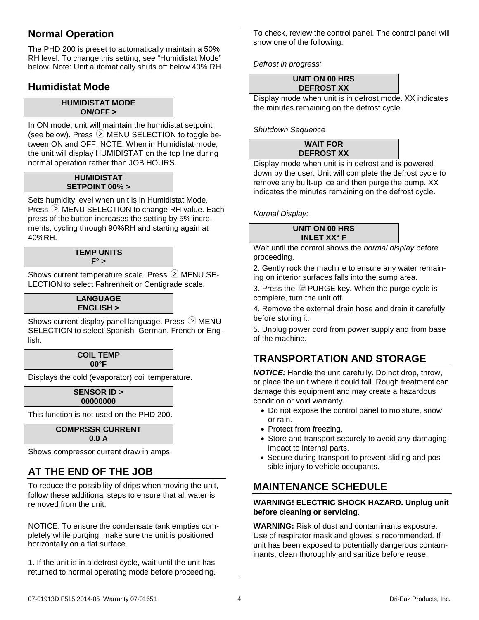## **Normal Operation**

The PHD 200 is preset to automatically maintain a 50% RH level. To change this setting, see "Humidistat Mode" below. Note: Unit automatically shuts off below 40% RH.

## **Humidistat Mode**

#### **HUMIDISTAT MODE ON/OFF >**

In ON mode, unit will maintain the humidistat setpoint (see below). Press  $\odot$  MENU SELECTION to toggle between ON and OFF. NOTE: When in Humidistat mode, the unit will display HUMIDISTAT on the top line during normal operation rather than JOB HOURS.

#### **HUMIDISTAT SETPOINT 00% >**

Sets humidity level when unit is in Humidistat Mode. Press  $\odot$  MENU SELECTION to change RH value. Each press of the button increases the setting by 5% increments, cycling through 90%RH and starting again at 40%RH.

#### **TEMP UNITS F° >**

Shows current temperature scale. Press  $\odot$  MENU SE-LECTION to select Fahrenheit or Centigrade scale.

#### **LANGUAGE ENGLISH >**

Shows current display panel language. Press  $\odot$  MENU SELECTION to select Spanish, German, French or English.

#### **COIL TEMP 00°F**

Displays the cold (evaporator) coil temperature.

#### **SENSOR ID > 00000000**

This function is not used on the PHD 200.

#### **COMPRSSR CURRENT 0.0 A**

<span id="page-3-0"></span>Shows compressor current draw in amps.

# **AT THE END OF THE JOB**

To reduce the possibility of drips when moving the unit, follow these additional steps to ensure that all water is removed from the unit.

NOTICE: To ensure the condensate tank empties completely while purging, make sure the unit is positioned horizontally on a flat surface.

1. If the unit is in a defrost cycle, wait until the unit has returned to normal operating mode before proceeding.

To check, review the control panel. The control panel will show one of the following:

*Defrost in progress:*

#### **UNIT ON 00 HRS DEFROST XX**

Display mode when unit is in defrost mode. XX indicates the minutes remaining on the defrost cycle.

*Shutdown Sequence*

#### **WAIT FOR DEFROST XX**

Display mode when unit is in defrost and is powered down by the user. Unit will complete the defrost cycle to remove any built-up ice and then purge the pump. XX indicates the minutes remaining on the defrost cycle.

*Normal Display:*

#### **UNIT ON 00 HRS INLET XX° F**

Wait until the control shows the *normal display* before proceeding.

2. Gently rock the machine to ensure any water remaining on interior surfaces falls into the sump area.

3. Press the <sup>n</sup> PURGE key. When the purge cycle is complete, turn the unit off.

4. Remove the external drain hose and drain it carefully before storing it.

5. Unplug power cord from power supply and from base of the machine.

# **TRANSPORTATION AND STORAGE**

*NOTICE:* Handle the unit carefully. Do not drop, throw, or place the unit where it could fall. Rough treatment can damage this equipment and may create a hazardous condition or void warranty.

- Do not expose the control panel to moisture, snow or rain.
- Protect from freezing.
- Store and transport securely to avoid any damaging impact to internal parts.
- Secure during transport to prevent sliding and possible injury to vehicle occupants.

# **MAINTENANCE SCHEDULE**

#### **WARNING! ELECTRIC SHOCK HAZARD. Unplug unit before cleaning or servicing**.

**WARNING:** Risk of dust and contaminants exposure. Use of respirator mask and gloves is recommended. If unit has been exposed to potentially dangerous contaminants, clean thoroughly and sanitize before reuse.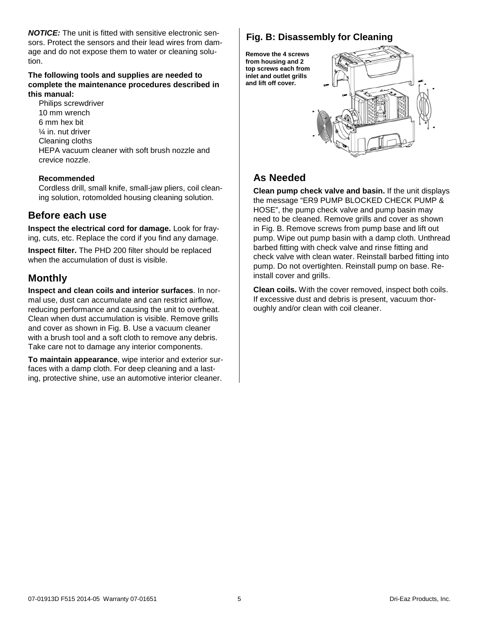*NOTICE:* The unit is fitted with sensitive electronic sensors. Protect the sensors and their lead wires from damage and do not expose them to water or cleaning solution.

#### **The following tools and supplies are needed to complete the maintenance procedures described in this manual:**

Philips screwdriver 10 mm wrench 6 mm hex bit ¼ in. nut driver Cleaning cloths HEPA vacuum cleaner with soft brush nozzle and crevice nozzle.

#### **Recommended**

Cordless drill, small knife, small-jaw pliers, coil cleaning solution, rotomolded housing cleaning solution.

#### **Before each use**

**Inspect the electrical cord for damage.** Look for fraying, cuts, etc. Replace the cord if you find any damage.

**Inspect filter.** The PHD 200 filter should be replaced when the accumulation of dust is visible.

### **Monthly**

<span id="page-4-0"></span>**Inspect and clean coils and interior surfaces**. In normal use, dust can accumulate and can restrict airflow, reducing performance and causing the unit to overheat. Clean when dust accumulation is visible. Remove grills and cover as shown in Fig. B. Use a vacuum cleaner with a brush tool and a soft cloth to remove any debris. Take care not to damage any interior components.

**To maintain appearance**, wipe interior and exterior surfaces with a damp cloth. For deep cleaning and a lasting, protective shine, use an automotive interior cleaner.

## **Fig. B: Disassembly for Cleaning**

**Remove the 4 screws from housing and 2 top screws each from inlet and outlet grills and lift off cover.** 



# **As Needed**

**Clean pump check valve and basin.** If the unit displays the message "ER9 PUMP BLOCKED CHECK PUMP & HOSE", the pump check valve and pump basin may need to be cleaned. Remove grills and cover as shown in Fig. B. Remove screws from pump base and lift out pump. Wipe out pump basin with a damp cloth. Unthread barbed fitting with check valve and rinse fitting and check valve with clean water. Reinstall barbed fitting into pump. Do not overtighten. Reinstall pump on base. Reinstall cover and grills.

**Clean coils.** With the cover removed, inspect both coils. If excessive dust and debris is present, vacuum thoroughly and/or clean with coil cleaner.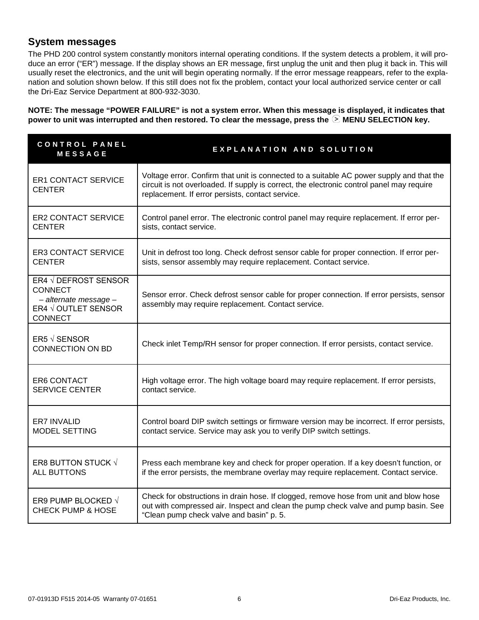## <span id="page-5-0"></span>**System messages**

The PHD 200 control system constantly monitors internal operating conditions. If the system detects a problem, it will produce an error ("ER") message. If the display shows an ER message, first unplug the unit and then plug it back in. This will usually reset the electronics, and the unit will begin operating normally. If the error message reappears, refer to the explanation and solution shown below. If this still does not fix the problem, contact your local authorized service center or call the Dri-Eaz Service Department at 800-932-3030.

**NOTE: The message "POWER FAILURE" is not a system error. When this message is displayed, it indicates that**  power to unit was interrupted and then restored. To clear the message, press the  $\heartsuit$  MENU SELECTION key.

| CONTROL PANEL<br><b>MESSAGE</b>                                                                          | EXPLANATION AND SOLUTION                                                                                                                                                                                                                  |  |
|----------------------------------------------------------------------------------------------------------|-------------------------------------------------------------------------------------------------------------------------------------------------------------------------------------------------------------------------------------------|--|
| <b>ER1 CONTACT SERVICE</b><br><b>CENTER</b>                                                              | Voltage error. Confirm that unit is connected to a suitable AC power supply and that the<br>circuit is not overloaded. If supply is correct, the electronic control panel may require<br>replacement. If error persists, contact service. |  |
| <b>ER2 CONTACT SERVICE</b>                                                                               | Control panel error. The electronic control panel may require replacement. If error per-                                                                                                                                                  |  |
| <b>CENTER</b>                                                                                            | sists, contact service.                                                                                                                                                                                                                   |  |
| <b>ER3 CONTACT SERVICE</b>                                                                               | Unit in defrost too long. Check defrost sensor cable for proper connection. If error per-                                                                                                                                                 |  |
| <b>CENTER</b>                                                                                            | sists, sensor assembly may require replacement. Contact service.                                                                                                                                                                          |  |
| ER4 √ DEFROST SENSOR<br><b>CONNECT</b><br>- alternate message -<br>ER4 √ OUTLET SENSOR<br><b>CONNECT</b> | Sensor error. Check defrost sensor cable for proper connection. If error persists, sensor<br>assembly may require replacement. Contact service.                                                                                           |  |
| ER5 $\sqrt$ SENSOR<br><b>CONNECTION ON BD</b>                                                            | Check inlet Temp/RH sensor for proper connection. If error persists, contact service.                                                                                                                                                     |  |
| ER6 CONTACT                                                                                              | High voltage error. The high voltage board may require replacement. If error persists,                                                                                                                                                    |  |
| <b>SERVICE CENTER</b>                                                                                    | contact service.                                                                                                                                                                                                                          |  |
| ER7 INVALID                                                                                              | Control board DIP switch settings or firmware version may be incorrect. If error persists,                                                                                                                                                |  |
| <b>MODEL SETTING</b>                                                                                     | contact service. Service may ask you to verify DIP switch settings.                                                                                                                                                                       |  |
| ER8 BUTTON STUCK √                                                                                       | Press each membrane key and check for proper operation. If a key doesn't function, or                                                                                                                                                     |  |
| <b>ALL BUTTONS</b>                                                                                       | if the error persists, the membrane overlay may require replacement. Contact service.                                                                                                                                                     |  |
| ER9 PUMP BLOCKED √<br><b>CHECK PUMP &amp; HOSE</b>                                                       | Check for obstructions in drain hose. If clogged, remove hose from unit and blow hose<br>out with compressed air. Inspect and clean the pump check valve and pump basin. See<br>"Clean pump check valve and basin" p. 5.                  |  |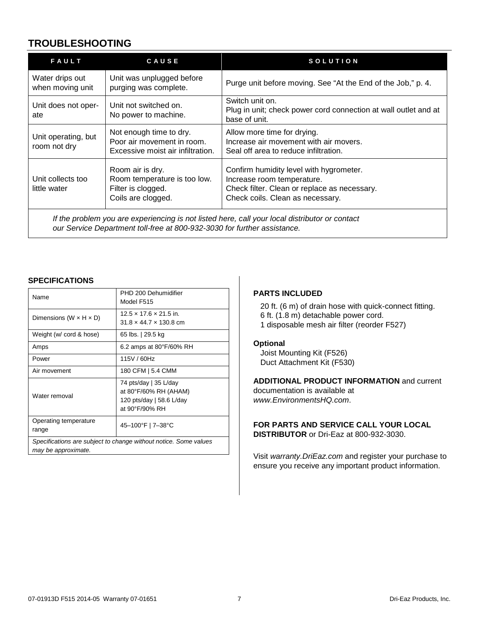## **TROUBLESHOOTING**

| FAULT                               | CAUSE                                                                                        | <b>SOLUTION</b>                                                                                                                                           |
|-------------------------------------|----------------------------------------------------------------------------------------------|-----------------------------------------------------------------------------------------------------------------------------------------------------------|
| Water drips out<br>when moving unit | Unit was unplugged before<br>purging was complete.                                           | Purge unit before moving. See "At the End of the Job," p. 4.                                                                                              |
| Unit does not oper-<br>ate          | Unit not switched on.<br>No power to machine.                                                | Switch unit on.<br>Plug in unit; check power cord connection at wall outlet and at<br>base of unit.                                                       |
| Unit operating, but<br>room not dry | Not enough time to dry.<br>Poor air movement in room.<br>Excessive moist air infiltration.   | Allow more time for drying.<br>Increase air movement with air movers.<br>Seal off area to reduce infiltration.                                            |
| Unit collects too<br>little water   | Room air is dry.<br>Room temperature is too low.<br>Filter is clogged.<br>Coils are clogged. | Confirm humidity level with hygrometer.<br>Increase room temperature.<br>Check filter. Clean or replace as necessary.<br>Check coils. Clean as necessary. |

*If the problem you are experiencing is not listed here, call your local distributor or contact our Service Department toll-free at 800-932-3030 for further assistance.*

#### **SPECIFICATIONS**

| Name                                                                                    | PHD 200 Dehumidifier<br>Model F515                                                           |
|-----------------------------------------------------------------------------------------|----------------------------------------------------------------------------------------------|
| Dimensions (W $\times$ H $\times$ D)                                                    | $12.5 \times 17.6 \times 21.5$ in.<br>$31.8 \times 44.7 \times 130.8$ cm                     |
| Weight (w/ cord & hose)                                                                 | 65 lbs.   29.5 kg                                                                            |
| Amps                                                                                    | 6.2 amps at 80°F/60% RH                                                                      |
| Power                                                                                   | 115V / 60Hz                                                                                  |
| Air movement                                                                            | 180 CFM   5.4 CMM                                                                            |
| Water removal                                                                           | 74 pts/day   35 L/day<br>at 80°F/60% RH (AHAM)<br>120 pts/day   58.6 L/day<br>at 90°F/90% RH |
| Operating temperature<br>range                                                          | 45-100°F   7-38°C                                                                            |
| Specifications are subject to change without notice. Some values<br>may be approximate. |                                                                                              |

#### **PARTS INCLUDED**

20 ft. (6 m) of drain hose with quick-connect fitting. 6 ft. (1.8 m) detachable power cord. 1 disposable mesh air filter (reorder F527)

#### **Optional**

Joist Mounting Kit (F526) Duct Attachment Kit (F530)

**ADDITIONAL PRODUCT INFORMATION** and current documentation is available at *www.EnvironmentsHQ.com*.

#### **FOR PARTS AND SERVICE CALL YOUR LOCAL DISTRIBUTOR** or Dri-Eaz at 800-932-3030.

Visit *[warranty.DriEaz.com](http://warranty.drieaz.com/)* and register your purchase to ensure you receive any important product information.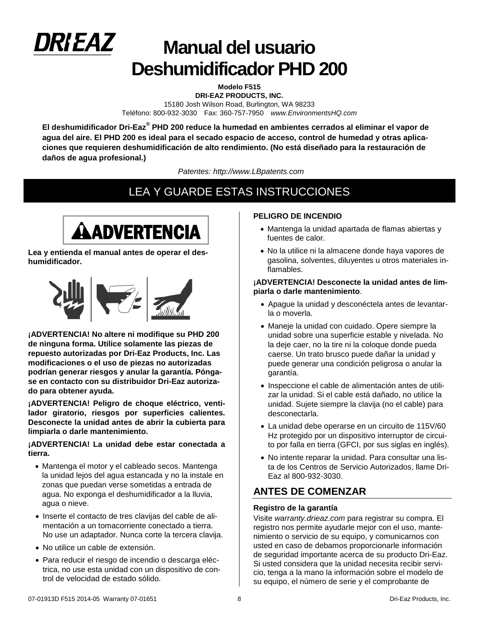

# **Manual del usuario Deshumidificador PHD 200**

**Modelo F515 DRI-EAZ PRODUCTS, INC.**  15180 Josh Wilson Road, Burlington, WA 98233 Teléfono: 800-932-3030 Fax: 360-757-7950 *www.EnvironmentsHQ.com*

**El deshumidificador Dri-Eaz® PHD 200 reduce la humedad en ambientes cerrados al eliminar el vapor de agua del aire. El PHD 200 es ideal para el secado espacio de acceso, control de humedad y otras aplicaciones que requieren deshumidificación de alto rendimiento. (No está diseñado para la restauración de daños de agua profesional.)**

*Patentes: http://www.LBpatents.com*

# LEA Y GUARDE ESTAS INSTRUCCIONES



**Lea y entienda el manual antes de operar el deshumidificador.**



**¡ADVERTENCIA! No altere ni modifique su PHD 200 de ninguna forma. Utilice solamente las piezas de repuesto autorizadas por Dri-Eaz Products, Inc. Las modificaciones o el uso de piezas no autorizadas podrían generar riesgos y anular la garantía. Póngase en contacto con su distribuidor Dri-Eaz autorizado para obtener ayuda.**

**¡ADVERTENCIA! Peligro de choque eléctrico, ventilador giratorio, riesgos por superficies calientes. Desconecte la unidad antes de abrir la cubierta para limpiarla o darle mantenimiento.**

#### **¡ADVERTENCIA! La unidad debe estar conectada a tierra.**

- Mantenga el motor y el cableado secos. Mantenga la unidad lejos del agua estancada y no la instale en zonas que puedan verse sometidas a entrada de agua. No exponga el deshumidificador a la lluvia, agua o nieve.
- Inserte el contacto de tres clavijas del cable de alimentación a un tomacorriente conectado a tierra. No use un adaptador. Nunca corte la tercera clavija.
- No utilice un cable de extensión.
- Para reducir el riesgo de incendio o descarga eléctrica, no use esta unidad con un dispositivo de control de velocidad de estado sólido.

#### **PELIGRO DE INCENDIO**

- Mantenga la unidad apartada de flamas abiertas y fuentes de calor.
- No la utilice ni la almacene donde haya vapores de gasolina, solventes, diluyentes u otros materiales inflamables.

#### **¡ADVERTENCIA! Desconecte la unidad antes de limpiarla o darle mantenimiento**.

- Apague la unidad y desconéctela antes de levantarla o moverla.
- Maneje la unidad con cuidado. Opere siempre la unidad sobre una superficie estable y nivelada. No la deje caer, no la tire ni la coloque donde pueda caerse. Un trato brusco puede dañar la unidad y puede generar una condición peligrosa o anular la garantía.
- Inspeccione el cable de alimentación antes de utilizar la unidad. Si el cable está dañado, no utilice la unidad. Sujete siempre la clavija (no el cable) para desconectarla.
- La unidad debe operarse en un circuito de 115V/60 Hz protegido por un dispositivo interruptor de circuito por falla en tierra (GFCI, por sus siglas en inglés).
- No intente reparar la unidad. Para consultar una lista de los Centros de Servicio Autorizados, llame Dri-Eaz al 800-932-3030.

## **ANTES DE COMENZAR**

#### **Registro de la garantía**

Visite *warranty.drieaz.com* para registrar su compra. El registro nos permite ayudarle mejor con el uso, mantenimiento o servicio de su equipo, y comunicarnos con usted en caso de debamos proporcionarle información de seguridad importante acerca de su producto Dri-Eaz. Si usted considera que la unidad necesita recibir servicio, tenga a la mano la información sobre el modelo de su equipo, el número de serie y el comprobante de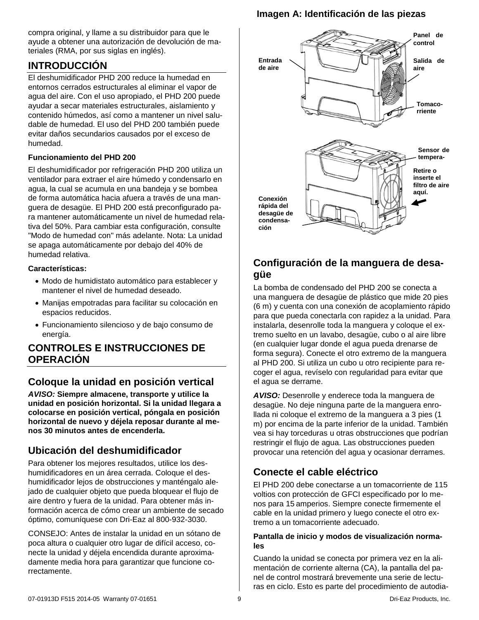compra original, y llame a su distribuidor para que le ayude a obtener una autorización de devolución de materiales (RMA, por sus siglas en inglés).

## **INTRODUCCIÓN**

El deshumidificador PHD 200 reduce la humedad en entornos cerrados estructurales al eliminar el vapor de agua del aire. Con el uso apropiado, el PHD 200 puede ayudar a secar materiales estructurales, aislamiento y contenido húmedos, así como a mantener un nivel saludable de humedad. El uso del PHD 200 también puede evitar daños secundarios causados por el exceso de humedad.

#### **Funcionamiento del PHD 200**

El deshumidificador por refrigeración PHD 200 utiliza un ventilador para extraer el aire húmedo y condensarlo en agua, la cual se acumula en una bandeja y se bombea de forma automática hacia afuera a través de una manguera de desagüe. El PHD 200 está preconfigurado para mantener automáticamente un nivel de humedad relativa del 50%. Para cambiar esta configuración, consulte "Modo de humedad con" más adelante. Nota: La unidad se apaga automáticamente por debajo del 40% de humedad relativa.

#### **Características:**

- Modo de humidistato automático para establecer y mantener el nivel de humedad deseado.
- Manijas empotradas para facilitar su colocación en espacios reducidos.
- Funcionamiento silencioso y de bajo consumo de energía.

## **CONTROLES E INSTRUCCIONES DE OPERACIÓN**

## **Coloque la unidad en posición vertical**

*AVISO:* **Siempre almacene, transporte y utilice la unidad en posición horizontal. Si la unidad llegara a colocarse en posición vertical, póngala en posición horizontal de nuevo y déjela reposar durante al menos 30 minutos antes de encenderla.** 

## **Ubicación del deshumidificador**

Para obtener los mejores resultados, utilice los deshumidificadores en un área cerrada. Coloque el deshumidificador lejos de obstrucciones y manténgalo alejado de cualquier objeto que pueda bloquear el flujo de aire dentro y fuera de la unidad. Para obtener más información acerca de cómo crear un ambiente de secado óptimo, comuníquese con Dri-Eaz al 800-932-3030.

CONSEJO: Antes de instalar la unidad en un sótano de poca altura o cualquier otro lugar de difícil acceso, conecte la unidad y déjela encendida durante aproximadamente media hora para garantizar que funcione correctamente.

## **Imagen A: Identificación de las piezas**



## **Configuración de la manguera de desagüe**

La bomba de condensado del PHD 200 se conecta a una manguera de desagüe de plástico que mide 20 pies (6 m) y cuenta con una conexión de acoplamiento rápido para que pueda conectarla con rapidez a la unidad. Para instalarla, desenrolle toda la manguera y coloque el extremo suelto en un lavabo, desagüe, cubo o al aire libre (en cualquier lugar donde el agua pueda drenarse de forma segura). Conecte el otro extremo de la manguera al PHD 200. Si utiliza un cubo u otro recipiente para recoger el agua, revíselo con regularidad para evitar que el agua se derrame.

*AVISO:* Desenrolle y enderece toda la manguera de desagüe. No deje ninguna parte de la manguera enrollada ni coloque el extremo de la manguera a 3 pies (1 m) por encima de la parte inferior de la unidad. También vea si hay torceduras u otras obstrucciones que podrían restringir el flujo de agua. Las obstrucciones pueden provocar una retención del agua y ocasionar derrames.

## **Conecte el cable eléctrico**

El PHD 200 debe conectarse a un tomacorriente de 115 voltios con protección de GFCI especificado por lo menos para 15 amperios. Siempre conecte firmemente el cable en la unidad primero y luego conecte el otro extremo a un tomacorriente adecuado.

#### **Pantalla de inicio y modos de visualización normales**

Cuando la unidad se conecta por primera vez en la alimentación de corriente alterna (CA), la pantalla del panel de control mostrará brevemente una serie de lecturas en ciclo. Esto es parte del procedimiento de autodia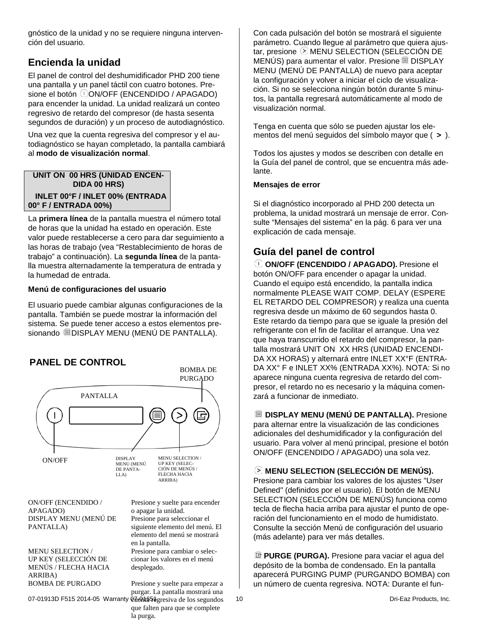gnóstico de la unidad y no se requiere ninguna intervención del usuario.

# **Encienda la unidad**

El panel de control del deshumidificador PHD 200 tiene una pantalla y un panel táctil con cuatro botones. Presione el botón *ON/OFF* (ENCENDIDO / APAGADO) para encender la unidad. La unidad realizará un conteo regresivo de retardo del compresor (de hasta sesenta segundos de duración) y un proceso de autodiagnóstico.

Una vez que la cuenta regresiva del compresor y el autodiagnóstico se hayan completado, la pantalla cambiará al **modo de visualización normal**.

#### **UNIT ON 00 HRS (UNIDAD ENCEN-DIDA 00 HRS) INLET 00°F / INLET 00% (ENTRADA 00° F / ENTRADA 00%)**

La **primera línea** de la pantalla muestra el número total de horas que la unidad ha estado en operación. Este valor puede restablecerse a cero para dar seguimiento a las horas de trabajo (vea "Restablecimiento de horas de trabajo" a continuación). La **segunda línea** de la pantalla muestra alternadamente la temperatura de entrada y la humedad de entrada.

#### **Menú de configuraciones del usuario**

El usuario puede cambiar algunas configuraciones de la pantalla. También se puede mostrar la información del sistema. Se puede tener acceso a estos elementos presionando DISPLAY MENU (MENÚ DE PANTALLA).



Con cada pulsación del botón se mostrará el siguiente parámetro. Cuando llegue al parámetro que quiera ajustar, presione  $\odot$  MENU SELECTION (SELECCIÓN DE MENÚS) para aumentar el valor. Presione DISPLAY MENU (MENÚ DE PANTALLA) de nuevo para aceptar la configuración y volver a iniciar el ciclo de visualización. Si no se selecciona ningún botón durante 5 minutos, la pantalla regresará automáticamente al modo de visualización normal.

Tenga en cuenta que sólo se pueden ajustar los elementos del menú seguidos del símbolo mayor que ( **>** ).

Todos los ajustes y modos se describen con detalle en la Guía del panel de control, que se encuentra más adelante.

#### **Mensajes de error**

Si el diagnóstico incorporado al PHD 200 detecta un problema, la unidad mostrará un mensaje de error. Consulte "Mensajes del sistema" en la pág. [6](#page-5-0) para ver una explicación de cada mensaje.

## **Guía del panel de control**

**ON/OFF (ENCENDIDO / APAGADO).** Presione el botón ON/OFF para encender o apagar la unidad. Cuando el equipo está encendido, la pantalla indica normalmente PLEASE WAIT COMP. DELAY (ESPERE EL RETARDO DEL COMPRESOR) y realiza una cuenta regresiva desde un máximo de 60 segundos hasta 0. Este retardo da tiempo para que se iguale la presión del refrigerante con el fin de facilitar el arranque. Una vez que haya transcurrido el retardo del compresor, la pantalla mostrará UNIT ON XX HRS (UNIDAD ENCENDI-DA XX HORAS) y alternará entre INLET XX°F (ENTRA-DA XX° F e INLET XX% (ENTRADA XX%). NOTA: Si no aparece ninguna cuenta regresiva de retardo del compresor, el retardo no es necesario y la máquina comenzará a funcionar de inmediato.

**DISPLAY MENU (MENÚ DE PANTALLA).** Presione para alternar entre la visualización de las condiciones adicionales del deshumidificador y la configuración del usuario. Para volver al menú principal, presione el botón ON/OFF (ENCENDIDO / APAGADO) una sola vez.

#### **MENU SELECTION (SELECCIÓN DE MENÚS).**

Presione para cambiar los valores de los ajustes "User Defined" (definidos por el usuario). El botón de MENU SELECTION (SELECCIÓN DE MENÚS) funciona como tecla de flecha hacia arriba para ajustar el punto de operación del funcionamiento en el modo de humidistato. Consulte la sección Menú de configuración del usuario (más adelante) para ver más detalles.

**PURGE (PURGA).** Presione para vaciar el agua del depósito de la bomba de condensado. En la pantalla aparecerá PURGING PUMP (PURGANDO BOMBA) con un número de cuenta regresiva. NOTA: Durante el fun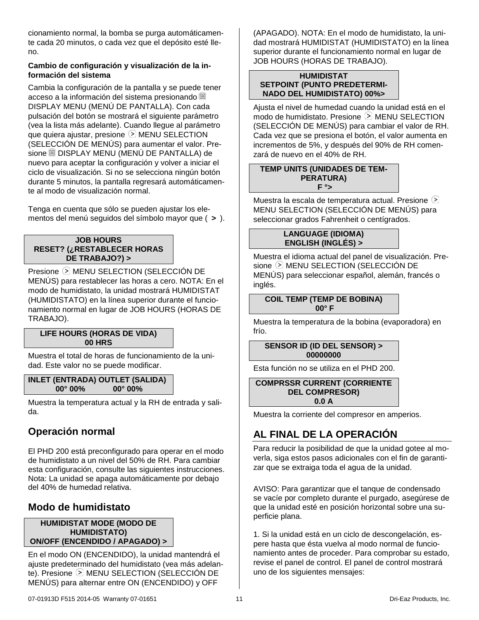cionamiento normal, la bomba se purga automáticamente cada 20 minutos, o cada vez que el depósito esté lleno.

#### **Cambio de configuración y visualización de la información del sistema**

Cambia la configuración de la pantalla y se puede tener acceso a la información del sistema presionando DISPLAY MENU (MENÚ DE PANTALLA). Con cada pulsación del botón se mostrará el siguiente parámetro (vea la lista más adelante). Cuando llegue al parámetro que quiera ajustar, presione  $\odot$  MENU SELECTION (SELECCIÓN DE MENÚS) para aumentar el valor. Presione DISPLAY MENU (MENÚ DE PANTALLA) de nuevo para aceptar la configuración y volver a iniciar el ciclo de visualización. Si no se selecciona ningún botón durante 5 minutos, la pantalla regresará automáticamente al modo de visualización normal.

Tenga en cuenta que sólo se pueden ajustar los elementos del menú seguidos del símbolo mayor que ( **>** ).

#### **JOB HOURS RESET? (¿RESTABLECER HORAS DE TRABAJO?) >**

Presione MENU SELECTION (SELECCIÓN DE MENÚS) para restablecer las horas a cero. NOTA: En el modo de humidistato, la unidad mostrará HUMIDISTAT (HUMIDISTATO) en la línea superior durante el funcionamiento normal en lugar de JOB HOURS (HORAS DE TRABAJO).

#### **LIFE HOURS (HORAS DE VIDA) 00 HRS**

Muestra el total de horas de funcionamiento de la unidad. Este valor no se puede modificar.

#### **INLET (ENTRADA) OUTLET (SALIDA) 00° 00% 00° 00%**

Muestra la temperatura actual y la RH de entrada y salida.

## **Operación normal**

El PHD 200 está preconfigurado para operar en el modo de humidistato a un nivel del 50% de RH. Para cambiar esta configuración, consulte las siguientes instrucciones. Nota: La unidad se apaga automáticamente por debajo del 40% de humedad relativa.

## **Modo de humidistato**

#### **HUMIDISTAT MODE (MODO DE HUMIDISTATO) ON/OFF (ENCENDIDO / APAGADO) >**

En el modo ON (ENCENDIDO), la unidad mantendrá el ajuste predeterminado del humidistato (vea más adelante). Presione  $\odot$  MENU SELECTION (SELECCIÓN DE MENÚS) para alternar entre ON (ENCENDIDO) y OFF

(APAGADO). NOTA: En el modo de humidistato, la unidad mostrará HUMIDISTAT (HUMIDISTATO) en la línea superior durante el funcionamiento normal en lugar de JOB HOURS (HORAS DE TRABAJO).

#### **HUMIDISTAT SETPOINT (PUNTO PREDETERMI-NADO DEL HUMIDISTATO) 00%>**

Ajusta el nivel de humedad cuando la unidad está en el modo de humidistato. Presione  $\odot$  MENU SELECTION (SELECCIÓN DE MENÚS) para cambiar el valor de RH. Cada vez que se presiona el botón, el valor aumenta en incrementos de 5%, y después del 90% de RH comenzará de nuevo en el 40% de RH.

#### **TEMP UNITS (UNIDADES DE TEM-PERATURA) F °>**

Muestra la escala de temperatura actual. Presione  $\odot$ MENU SELECTION (SELECCIÓN DE MENÚS) para seleccionar grados Fahrenheit o centígrados.

#### **LANGUAGE (IDIOMA) ENGLISH (INGLÉS) >**

Muestra el idioma actual del panel de visualización. Presione MENU SELECTION (SELECCIÓN DE MENÚS) para seleccionar español, alemán, francés o inglés.

#### **COIL TEMP (TEMP DE BOBINA) 00° F**

Muestra la temperatura de la bobina (evaporadora) en frío.

#### **SENSOR ID (ID DEL SENSOR) > 00000000**

Esta función no se utiliza en el PHD 200.

**COMPRSSR CURRENT (CORRIENTE DEL COMPRESOR) 0.0 A**

<span id="page-10-0"></span>Muestra la corriente del compresor en amperios.

# **AL FINAL DE LA OPERACIÓN**

Para reducir la posibilidad de que la unidad gotee al moverla, siga estos pasos adicionales con el fin de garantizar que se extraiga toda el agua de la unidad.

AVISO: Para garantizar que el tanque de condensado se vacíe por completo durante el purgado, asegúrese de que la unidad esté en posición horizontal sobre una superficie plana.

1. Si la unidad está en un ciclo de descongelación, espere hasta que ésta vuelva al modo normal de funcionamiento antes de proceder. Para comprobar su estado, revise el panel de control. El panel de control mostrará uno de los siguientes mensajes: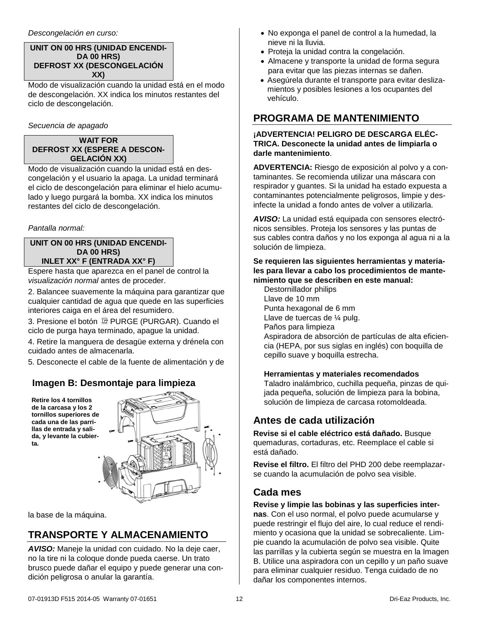#### *Descongelación en curso:*

#### **UNIT ON 00 HRS (UNIDAD ENCENDI-DA 00 HRS) DEFROST XX (DESCONGELACIÓN XX)**

Modo de visualización cuando la unidad está en el modo de descongelación. XX indica los minutos restantes del ciclo de descongelación.

*Secuencia de apagado*

#### **WAIT FOR DEFROST XX (ESPERE A DESCON-GELACIÓN XX)**

Modo de visualización cuando la unidad está en descongelación y el usuario la apaga. La unidad terminará el ciclo de descongelación para eliminar el hielo acumulado y luego purgará la bomba. XX indica los minutos restantes del ciclo de descongelación.

#### *Pantalla normal:*

#### **UNIT ON 00 HRS (UNIDAD ENCENDI-DA 00 HRS) INLET XX° F (ENTRADA XX° F)**

Espere hasta que aparezca en el panel de control la *visualización normal* antes de proceder.

2. Balancee suavemente la máquina para garantizar que cualquier cantidad de agua que quede en las superficies interiores caiga en el área del resumidero.

3. Presione el botón <sup>co</sup> PURGE (PURGAR). Cuando el ciclo de purga haya terminado, apague la unidad.

4. Retire la manguera de desagüe externa y drénela con cuidado antes de almacenarla.

5. Desconecte el cable de la fuente de alimentación y de

## **Imagen B: Desmontaje para limpieza**

**Retire los 4 tornillos de la carcasa y los 2 tornillos superiores de cada una de las parrillas de entrada y salida, y levante la cubierta.** 



la base de la máquina.

# **TRANSPORTE Y ALMACENAMIENTO**

*AVISO:* Maneje la unidad con cuidado. No la deje caer, no la tire ni la coloque donde pueda caerse. Un trato brusco puede dañar el equipo y puede generar una condición peligrosa o anular la garantía.

- No exponga el panel de control a la humedad, la nieve ni la lluvia.
- Proteja la unidad contra la congelación.
- Almacene y transporte la unidad de forma segura para evitar que las piezas internas se dañen.
- Asegúrela durante el transporte para evitar deslizamientos y posibles lesiones a los ocupantes del vehículo.

## **PROGRAMA DE MANTENIMIENTO**

#### **¡ADVERTENCIA! PELIGRO DE DESCARGA ELÉC-TRICA. Desconecte la unidad antes de limpiarla o darle mantenimiento**.

**ADVERTENCIA:** Riesgo de exposición al polvo y a contaminantes. Se recomienda utilizar una máscara con respirador y guantes. Si la unidad ha estado expuesta a contaminantes potencialmente peligrosos, limpie y desinfecte la unidad a fondo antes de volver a utilizarla.

*AVISO:* La unidad está equipada con sensores electrónicos sensibles. Proteja los sensores y las puntas de sus cables contra daños y no los exponga al agua ni a la solución de limpieza.

#### **Se requieren las siguientes herramientas y materiales para llevar a cabo los procedimientos de mantenimiento que se describen en este manual:**

Destornillador philips Llave de 10 mm Punta hexagonal de 6 mm Llave de tuercas de ¼ pulg. Paños para limpieza Aspiradora de absorción de partículas de alta eficiencia (HEPA, por sus siglas en inglés) con boquilla de cepillo suave y boquilla estrecha.

#### **Herramientas y materiales recomendados**

Taladro inalámbrico, cuchilla pequeña, pinzas de quijada pequeña, solución de limpieza para la bobina, solución de limpieza de carcasa rotomoldeada.

## **Antes de cada utilización**

**Revise si el cable eléctrico está dañado.** Busque quemaduras, cortaduras, etc. Reemplace el cable si está dañado.

**Revise el filtro.** El filtro del PHD 200 debe reemplazarse cuando la acumulación de polvo sea visible.

### **Cada mes**

#### **Revise y limpie las bobinas y las superficies internas**. Con el uso normal, el polvo puede acumularse y puede restringir el flujo del aire, lo cual reduce el rendimiento y ocasiona que la unidad se sobrecaliente. Limpie cuando la acumulación de polvo sea visible. Quite las parrillas y la cubierta según se muestra en la Imagen B. Utilice una aspiradora con un cepillo y un paño suave para eliminar cualquier residuo. Tenga cuidado de no dañar los componentes internos.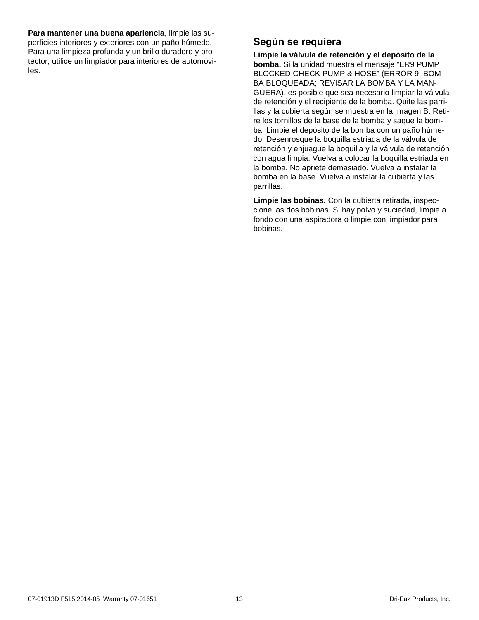**Para mantener una buena apariencia**, limpie las superficies interiores y exteriores con un paño húmedo. Para una limpieza profunda y un brillo duradero y protector, utilice un limpiador para interiores de automóviles.

## **Según se requiera**

<span id="page-12-0"></span>**Limpie la válvula de retención y el depósito de la bomba.** Si la unidad muestra el mensaje "ER9 PUMP BLOCKED CHECK PUMP & HOSE" (ERROR 9: BOM-BA BLOQUEADA; REVISAR LA BOMBA Y LA MAN-GUERA), es posible que sea necesario limpiar la válvula de retención y el recipiente de la bomba. Quite las parrillas y la cubierta según se muestra en la Imagen B. Retire los tornillos de la base de la bomba y saque la bomba. Limpie el depósito de la bomba con un paño húmedo. Desenrosque la boquilla estriada de la válvula de retención y enjuague la boquilla y la válvula de retención con agua limpia. Vuelva a colocar la boquilla estriada en la bomba. No apriete demasiado. Vuelva a instalar la bomba en la base. Vuelva a instalar la cubierta y las parrillas.

**Limpie las bobinas.** Con la cubierta retirada, inspeccione las dos bobinas. Si hay polvo y suciedad, limpie a fondo con una aspiradora o limpie con limpiador para bobinas.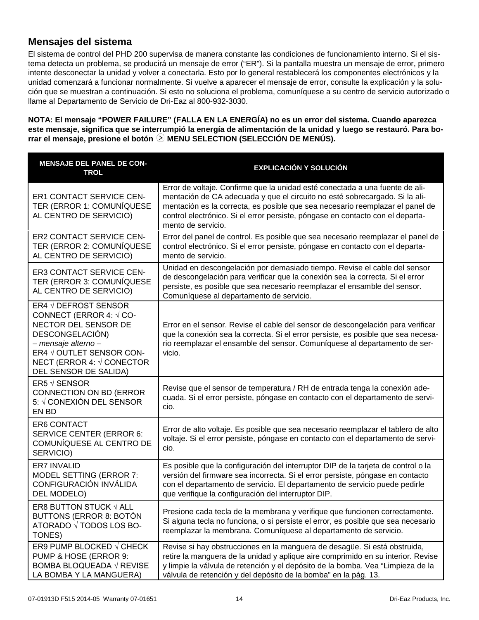## **Mensajes del sistema**

El sistema de control del PHD 200 supervisa de manera constante las condiciones de funcionamiento interno. Si el sistema detecta un problema, se producirá un mensaje de error ("ER"). Si la pantalla muestra un mensaje de error, primero intente desconectar la unidad y volver a conectarla. Esto por lo general restablecerá los componentes electrónicos y la unidad comenzará a funcionar normalmente. Si vuelve a aparecer el mensaje de error, consulte la explicación y la solución que se muestran a continuación. Si esto no soluciona el problema, comuníquese a su centro de servicio autorizado o llame al Departamento de Servicio de Dri-Eaz al 800-932-3030.

**NOTA: El mensaje "POWER FAILURE" (FALLA EN LA ENERGÍA) no es un error del sistema. Cuando aparezca este mensaje, significa que se interrumpió la energía de alimentación de la unidad y luego se restauró. Para borrar el mensaje, presione el botón**  $\odot$  **MENU SELECTION (SELECCIÓN DE MENÚS).** 

| <b>MENSAJE DEL PANEL DE CON-</b><br><b>TROL</b>                                                                                                                                                           | <b>EXPLICACIÓN Y SOLUCIÓN</b>                                                                                                                                                                                                                                                                                                                        |
|-----------------------------------------------------------------------------------------------------------------------------------------------------------------------------------------------------------|------------------------------------------------------------------------------------------------------------------------------------------------------------------------------------------------------------------------------------------------------------------------------------------------------------------------------------------------------|
| <b>ER1 CONTACT SERVICE CEN-</b><br>TER (ERROR 1: COMUNIQUESE<br>AL CENTRO DE SERVICIO)                                                                                                                    | Error de voltaje. Confirme que la unidad esté conectada a una fuente de ali-<br>mentación de CA adecuada y que el circuito no esté sobrecargado. Si la ali-<br>mentación es la correcta, es posible que sea necesario reemplazar el panel de<br>control electrónico. Si el error persiste, póngase en contacto con el departa-<br>mento de servicio. |
| <b>ER2 CONTACT SERVICE CEN-</b><br>TER (ERROR 2: COMUNIQUESE<br>AL CENTRO DE SERVICIO)                                                                                                                    | Error del panel de control. Es posible que sea necesario reemplazar el panel de<br>control electrónico. Si el error persiste, póngase en contacto con el departa-<br>mento de servicio.                                                                                                                                                              |
| ER3 CONTACT SERVICE CEN-<br>TER (ERROR 3: COMUNIQUESE<br>AL CENTRO DE SERVICIO)                                                                                                                           | Unidad en descongelación por demasiado tiempo. Revise el cable del sensor<br>de descongelación para verificar que la conexión sea la correcta. Si el error<br>persiste, es posible que sea necesario reemplazar el ensamble del sensor.<br>Comuníquese al departamento de servicio.                                                                  |
| ER4 √ DEFROST SENSOR<br>CONNECT (ERROR 4: $\sqrt$ CO-<br>NECTOR DEL SENSOR DE<br>DESCONGELACIÓN)<br>- mensaje alterno -<br>ER4 √ OUTLET SENSOR CON-<br>NECT (ERROR 4: √ CONECTOR<br>DEL SENSOR DE SALIDA) | Error en el sensor. Revise el cable del sensor de descongelación para verificar<br>que la conexión sea la correcta. Si el error persiste, es posible que sea necesa-<br>rio reemplazar el ensamble del sensor. Comuníquese al departamento de ser-<br>vicio.                                                                                         |
| ER5 $\sqrt$ SENSOR<br>CONNECTION ON BD (ERROR<br>5: √ CONEXIÓN DEL SENSOR<br>EN BD                                                                                                                        | Revise que el sensor de temperatura / RH de entrada tenga la conexión ade-<br>cuada. Si el error persiste, póngase en contacto con el departamento de servi-<br>cio.                                                                                                                                                                                 |
| <b>ER6 CONTACT</b><br><b>SERVICE CENTER (ERROR 6:</b><br>COMUNÍQUESE AL CENTRO DE<br>SERVICIO)                                                                                                            | Error de alto voltaje. Es posible que sea necesario reemplazar el tablero de alto<br>voltaje. Si el error persiste, póngase en contacto con el departamento de servi-<br>cio.                                                                                                                                                                        |
| <b>ER7 INVALID</b><br>MODEL SETTING (ERROR 7:<br>CONFIGURACIÓN INVÁLIDA<br>DEL MODELO)                                                                                                                    | Es posible que la configuración del interruptor DIP de la tarjeta de control o la<br>versión del firmware sea incorrecta. Si el error persiste, póngase en contacto<br>con el departamento de servicio. El departamento de servicio puede pedirle<br>que verifique la configuración del interruptor DIP.                                             |
| ER8 BUTTON STUCK √ ALL<br><b>BUTTONS (ERROR 8: BOTÓN</b><br>ATORADO √ TODOS LOS BO-<br>TONES)                                                                                                             | Presione cada tecla de la membrana y verifique que funcionen correctamente.<br>Si alguna tecla no funciona, o si persiste el error, es posible que sea necesario<br>reemplazar la membrana. Comuníquese al departamento de servicio.                                                                                                                 |
| ER9 PUMP BLOCKED $\sqrt$ CHECK<br>PUMP & HOSE (ERROR 9:<br>BOMBA BLOQUEADA √ REVISE<br>LA BOMBA Y LA MANGUERA)                                                                                            | Revise si hay obstrucciones en la manguera de desagüe. Si está obstruida,<br>retire la manguera de la unidad y aplique aire comprimido en su interior. Revise<br>y limpie la válvula de retención y el depósito de la bomba. Vea "Limpieza de la<br>válvula de retención y del depósito de la bomba" en la pág. 13.                                  |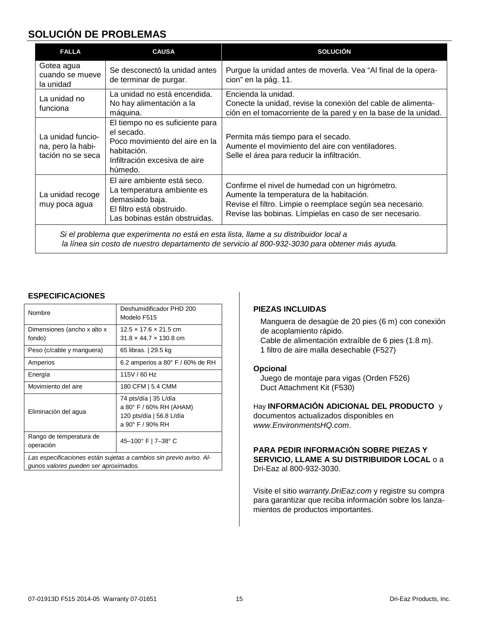## **SOLUCIÓN DE PROBLEMAS**

| <b>FALLA</b>                                                                                                                                                                            | <b>CAUSA</b>                                                                                                                               | <b>SOLUCIÓN</b>                                                                                                                                                                                                     |
|-----------------------------------------------------------------------------------------------------------------------------------------------------------------------------------------|--------------------------------------------------------------------------------------------------------------------------------------------|---------------------------------------------------------------------------------------------------------------------------------------------------------------------------------------------------------------------|
| Gotea agua<br>cuando se mueve<br>la unidad                                                                                                                                              | Se desconectó la unidad antes<br>de terminar de purgar.                                                                                    | Purgue la unidad antes de moverla. Vea "Al final de la opera-<br>cion" en la pág. 11.                                                                                                                               |
| La unidad no<br>funciona                                                                                                                                                                | La unidad no está encendida.<br>No hay alimentación a la<br>máquina.                                                                       | Encienda la unidad.<br>Conecte la unidad, revise la conexión del cable de alimenta-<br>ción en el tomacorriente de la pared y en la base de la unidad.                                                              |
| La unidad funcio-<br>na, pero la habi-<br>tación no se seca                                                                                                                             | El tiempo no es suficiente para<br>el secado.<br>Poco movimiento del aire en la<br>habitación.<br>Infiltración excesiva de aire<br>húmedo. | Permita más tiempo para el secado.<br>Aumente el movimiento del aire con ventiladores.<br>Selle el área para reducir la infiltración.                                                                               |
| La unidad recoge<br>muy poca agua                                                                                                                                                       | El aire ambiente está seco.<br>La temperatura ambiente es<br>demasiado baja.<br>El filtro está obstruido.<br>Las bobinas están obstruidas. | Confirme el nivel de humedad con un higrómetro.<br>Aumente la temperatura de la habitación.<br>Revise el filtro. Limpie o reemplace según sea necesario.<br>Revise las bobinas. Límpielas en caso de ser necesario. |
| Si el problema que experimenta no está en esta lista, llame a su distribuidor local a<br>la línea sin costo de nuestro departamento de servicio al 800-932-3030 para obtener más ayuda. |                                                                                                                                            |                                                                                                                                                                                                                     |

#### **ESPECIFICACIONES**

| Nombre                                                                                                      | Deshumidificador PHD 200<br>Modelo F515                                                          |
|-------------------------------------------------------------------------------------------------------------|--------------------------------------------------------------------------------------------------|
| Dimensiones (ancho x alto x<br>fondo)                                                                       | $12.5 \times 17.6 \times 21.5$ cm<br>$31.8 \times 44.7 \times 130.8$ cm                          |
| Peso (c/cable y manguera)                                                                                   | 65 libras.   29.5 kg                                                                             |
| Amperios                                                                                                    | 6.2 amperios a $80^{\circ}$ F / 60% de RH                                                        |
| Energía                                                                                                     | 115V / 60 Hz                                                                                     |
| Movimiento del aire                                                                                         | 180 CFM   5.4 CMM                                                                                |
| Eliminación del agua                                                                                        | 74 pts/día   35 L/día<br>a 80° F / 60% RH (AHAM)<br>120 pts/día   56.8 L/día<br>a 90° F / 90% RH |
| Rango de temperatura de<br>operación                                                                        | 45-100° F   7-38° C                                                                              |
| Las especificaciones están sujetas a cambios sin previo aviso. Al-<br>gunos valores pueden ser aproximados. |                                                                                                  |

#### **PIEZAS INCLUIDAS**

Manguera de desagüe de 20 pies (6 m) con conexión de acoplamiento rápido. Cable de alimentación extraíble de 6 pies (1.8 m). 1 filtro de aire malla desechable (F527)

#### **Opcional**

Juego de montaje para vigas (Orden F526) Duct Attachment Kit (F530)

Hay **INFORMACIÓN ADICIONAL DEL PRODUCTO** y documentos actualizados disponibles en *www.EnvironmentsHQ.com*.

#### **PARA PEDIR INFORMACIÓN SOBRE PIEZAS Y SERVICIO, LLAME A SU DISTRIBUIDOR LOCAL** o a Dri-Eaz al 800-932-3030.

Visite el sitio *[warranty.DriEaz.com](http://warranty.drieaz.com/)* y registre su compra para garantizar que reciba información sobre los lanzamientos de productos importantes.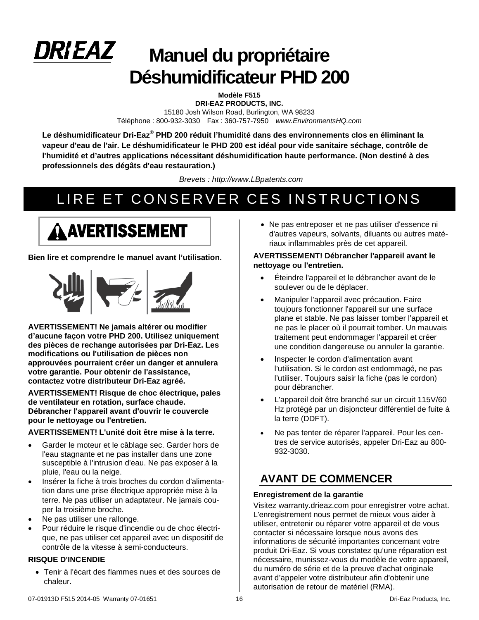

# **Manuel du propriétaire Déshumidificateur PHD 200**

**Modèle F515**

**DRI-EAZ PRODUCTS, INC.**  15180 Josh Wilson Road, Burlington, WA 98233 Téléphone : 800-932-3030 Fax : 360-757-7950 *www.EnvironmentsHQ.com*

**Le déshumidificateur Dri-Eaz® PHD 200 réduit l'humidité dans des environnements clos en éliminant la vapeur d'eau de l'air. Le déshumidificateur le PHD 200 est idéal pour vide sanitaire séchage, contrôle de l'humidité et d'autres applications nécessitant déshumidification haute performance. (Non destiné à des professionnels des dégâts d'eau restauration.)**

*Brevets : http://www.LBpatents.com*

# LIRE ET CONSERVER CES INSTRUCTIONS

# AVERTISSEMENT

**Bien lire et comprendre le manuel avant l'utilisation.**



**AVERTISSEMENT! Ne jamais altérer ou modifier d'aucune façon votre PHD 200. Utilisez uniquement des pièces de rechange autorisées par Dri-Eaz. Les modifications ou l'utilisation de pièces non approuvées pourraient créer un danger et annulera votre garantie. Pour obtenir de l'assistance, contactez votre distributeur Dri-Eaz agréé.**

**AVERTISSEMENT! Risque de choc électrique, pales de ventilateur en rotation, surface chaude. Débrancher l'appareil avant d'ouvrir le couvercle pour le nettoyage ou l'entretien.**

**AVERTISSEMENT! L'unité doit être mise à la terre.**

- Garder le moteur et le câblage sec. Garder hors de l'eau stagnante et ne pas installer dans une zone susceptible à l'intrusion d'eau. Ne pas exposer à la pluie, l'eau ou la neige.
- Insérer la fiche à trois broches du cordon d'alimentation dans une prise électrique appropriée mise à la terre. Ne pas utiliser un adaptateur. Ne jamais couper la troisième broche.
- Ne pas utiliser une rallonge.
- Pour réduire le risque d'incendie ou de choc électrique, ne pas utiliser cet appareil avec un dispositif de contrôle de la vitesse à semi-conducteurs.

#### **RISQUE D'INCENDIE**

• Tenir à l'écart des flammes nues et des sources de chaleur.

• Ne pas entreposer et ne pas utiliser d'essence ni d'autres vapeurs, solvants, diluants ou autres matériaux inflammables près de cet appareil.

#### **AVERTISSEMENT! Débrancher l'appareil avant le nettoyage ou l'entretien.**

- Éteindre l'appareil et le débrancher avant de le soulever ou de le déplacer.
- Manipuler l'appareil avec précaution. Faire toujours fonctionner l'appareil sur une surface plane et stable. Ne pas laisser tomber l'appareil et ne pas le placer où il pourrait tomber. Un mauvais traitement peut endommager l'appareil et créer une condition dangereuse ou annuler la garantie.
- Inspecter le cordon d'alimentation avant l'utilisation. Si le cordon est endommagé, ne pas l'utiliser. Toujours saisir la fiche (pas le cordon) pour débrancher.
- L'appareil doit être branché sur un circuit 115V/60 Hz protégé par un disjoncteur différentiel de fuite à la terre (DDFT).
- Ne pas tenter de réparer l'appareil. Pour les centres de service autorisés, appeler Dri-Eaz au 800- 932-3030.

# **AVANT DE COMMENCER**

#### **Enregistrement de la garantie**

Visitez warranty.drieaz.com pour enregistrer votre achat. L'enregistrement nous permet de mieux vous aider à utiliser, entretenir ou réparer votre appareil et de vous contacter si nécessaire lorsque nous avons des informations de sécurité importantes concernant votre produit Dri-Eaz. Si vous constatez qu'une réparation est nécessaire, munissez-vous du modèle de votre appareil, du numéro de série et de la preuve d'achat originale avant d'appeler votre distributeur afin d'obtenir une autorisation de retour de matériel (RMA).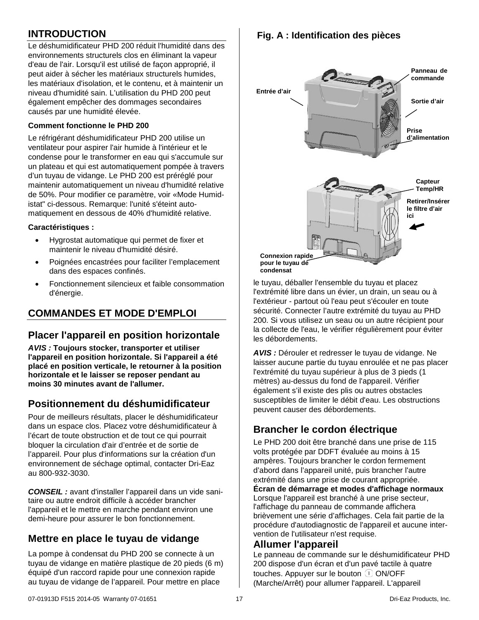# **INTRODUCTION**

Le déshumidificateur PHD 200 réduit l'humidité dans des environnements structurels clos en éliminant la vapeur d'eau de l'air. Lorsqu'il est utilisé de façon approprié, il peut aider à sécher les matériaux structurels humides, les matériaux d'isolation, et le contenu, et à maintenir un niveau d'humidité sain. L'utilisation du PHD 200 peut également empêcher des dommages secondaires causés par une humidité élevée.

#### **Comment fonctionne le PHD 200**

Le réfrigérant déshumidificateur PHD 200 utilise un ventilateur pour aspirer l'air humide à l'intérieur et le condense pour le transformer en eau qui s'accumule sur un plateau et qui est automatiquement pompée à travers d'un tuyau de vidange. Le PHD 200 est préréglé pour maintenir automatiquement un niveau d'humidité relative de 50%. Pour modifier ce paramètre, voir «Mode Humidistat" ci-dessous. Remarque: l'unité s'éteint automatiquement en dessous de 40% d'humidité relative.

#### **Caractéristiques :**

- Hygrostat automatique qui permet de fixer et maintenir le niveau d'humidité désiré.
- Poignées encastrées pour faciliter l'emplacement dans des espaces confinés.
- Fonctionnement silencieux et faible consommation d'énergie.

# **COMMANDES ET MODE D'EMPLOI**

## **Placer l'appareil en position horizontale**

*AVIS :* **Toujours stocker, transporter et utiliser l'appareil en position horizontale. Si l'appareil a été placé en position verticale, le retourner à la position horizontale et le laisser se reposer pendant au moins 30 minutes avant de l'allumer.** 

## **Positionnement du déshumidificateur**

Pour de meilleurs résultats, placer le déshumidificateur dans un espace clos. Placez votre déshumidificateur à l'écart de toute obstruction et de tout ce qui pourrait bloquer la circulation d'air d'entrée et de sortie de l'appareil. Pour plus d'informations sur la création d'un environnement de séchage optimal, contacter Dri-Eaz au 800-932-3030.

*CONSEIL :* avant d'installer l'appareil dans un vide sanitaire ou autre endroit difficile à accéder brancher l'appareil et le mettre en marche pendant environ une demi-heure pour assurer le bon fonctionnement.

# **Mettre en place le tuyau de vidange**

La pompe à condensat du PHD 200 se connecte à un tuyau de vidange en matière plastique de 20 pieds (6 m) équipé d'un raccord rapide pour une connexion rapide au tuyau de vidange de l'appareil. Pour mettre en place

**Fig. A : Identification des pièces**



le tuyau, déballer l'ensemble du tuyau et placez l'extrémité libre dans un évier, un drain, un seau ou à l'extérieur - partout où l'eau peut s'écouler en toute sécurité. Connecter l'autre extrémité du tuyau au PHD 200. Si vous utilisez un seau ou un autre récipient pour la collecte de l'eau, le vérifier régulièrement pour éviter les débordements.

*AVIS :* Dérouler et redresser le tuyau de vidange. Ne laisser aucune partie du tuyau enroulée et ne pas placer l'extrémité du tuyau supérieur à plus de 3 pieds (1 mètres) au-dessus du fond de l'appareil. Vérifier également s'il existe des plis ou autres obstacles susceptibles de limiter le débit d'eau. Les obstructions peuvent causer des débordements.

# **Brancher le cordon électrique**

Le PHD 200 doit être branché dans une prise de 115 volts protégée par DDFT évaluée au moins à 15 ampères. Toujours brancher le cordon fermement d'abord dans l'appareil unité, puis brancher l'autre extrémité dans une prise de courant appropriée. **Écran de démarrage et modes d'affichage normaux** Lorsque l'appareil est branché à une prise secteur, l'affichage du panneau de commande affichera brièvement une série d'affichages. Cela fait partie de la procédure d'autodiagnostic de l'appareil et aucune intervention de l'utilisateur n'est requise.

### **Allumer l'appareil**

Le panneau de commande sur le déshumidificateur PHD 200 dispose d'un écran et d'un pavé tactile à quatre touches. Appuyer sur le bouton  $\bigcirc$  ON/OFF (Marche/Arrêt) pour allumer l'appareil. L'appareil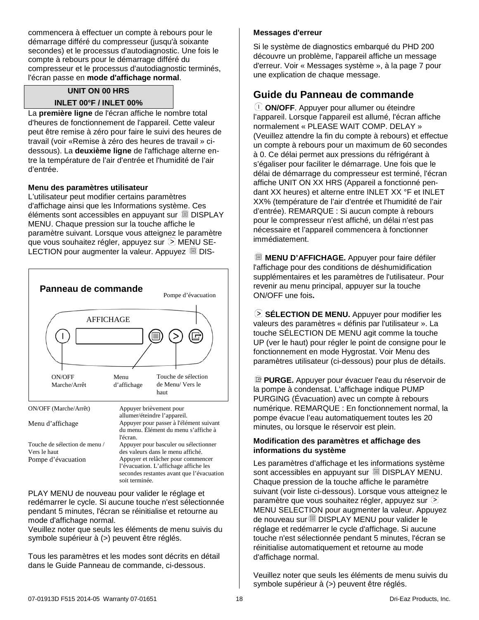commencera à effectuer un compte à rebours pour le démarrage différé du compresseur (jusqu'à soixante secondes) et le processus d'autodiagnostic. Une fois le compte à rebours pour le démarrage différé du compresseur et le processus d'autodiagnostic terminés, l'écran passe en **mode d'affichage normal**.

#### **UNIT ON 00 HRS**

#### **INLET 00°F / INLET 00%**

La **première ligne** de l'écran affiche le nombre total d'heures de fonctionnement de l'appareil. Cette valeur peut être remise à zéro pour faire le suivi des heures de travail (voir «Remise à zéro des heures de travail » cidessous). La **deuxième ligne** de l'affichage alterne entre la température de l'air d'entrée et l'humidité de l'air d'entrée.

#### **Menu des paramètres utilisateur**

L'utilisateur peut modifier certains paramètres d'affichage ainsi que les Informations système. Ces éléments sont accessibles en appuyant sur DISPLAY MENU. Chaque pression sur la touche affiche le paramètre suivant. Lorsque vous atteignez le paramètre que vous souhaitez régler, appuyez sur  $\odot$  MENU SE-LECTION pour augmenter la valeur. Appuyez  $\Box$  DIS-



PLAY MENU de nouveau pour valider le réglage et redémarrer le cycle. Si aucune touche n'est sélectionnée pendant 5 minutes, l'écran se réinitialise et retourne au mode d'affichage normal.

Veuillez noter que seuls les éléments de menu suivis du symbole supérieur à (>) peuvent être réglés.

Tous les paramètres et les modes sont décrits en détail dans le Guide Panneau de commande, ci-dessous.

#### **Messages d'erreur**

Si le système de diagnostics embarqué du PHD 200 découvre un problème, l'appareil affiche un message d'erreur. Voir « Messages système », à la page 7 pour une explication de chaque message.

## **Guide du Panneau de commande**

**ON/OFF**. Appuyer pour allumer ou éteindre l'appareil. Lorsque l'appareil est allumé, l'écran affiche normalement « PLEASE WAIT COMP. DELAY » (Veuillez attendre la fin du compte à rebours) et effectue un compte à rebours pour un maximum de 60 secondes à 0. Ce délai permet aux pressions du réfrigérant à s'égaliser pour faciliter le démarrage. Une fois que le délai de démarrage du compresseur est terminé, l'écran affiche UNIT ON XX HRS (Appareil a fonctionné pendant XX heures) et alterne entre INLET XX °F et INLET XX% (température de l'air d'entrée et l'humidité de l'air d'entrée). REMARQUE : Si aucun compte à rebours pour le compresseur n'est affiché, un délai n'est pas nécessaire et l'appareil commencera à fonctionner immédiatement.

**MENU D'AFFICHAGE.** Appuyer pour faire défiler l'affichage pour des conditions de déshumidification supplémentaires et les paramètres de l'utilisateur. Pour revenir au menu principal, appuyer sur la touche ON/OFF une fois**.**

**SÉLECTION DE MENU.** Appuyer pour modifier les valeurs des paramètres « définis par l'utilisateur ». La touche SÉLECTION DE MENU agit comme la touche UP (ver le haut) pour régler le point de consigne pour le fonctionnement en mode Hygrostat. Voir Menu des paramètres utilisateur (ci-dessous) pour plus de détails.

**PURGE.** Appuyer pour évacuer l'eau du réservoir de la pompe à condensat. L'affichage indique PUMP PURGING (Évacuation) avec un compte à rebours numérique. REMARQUE : En fonctionnement normal, la pompe évacue l'eau automatiquement toutes les 20 minutes, ou lorsque le réservoir est plein.

#### **Modification des paramètres et affichage des informations du système**

Les paramètres d'affichage et les informations système sont accessibles en appuyant sur DISPLAY MENU. Chaque pression de la touche affiche le paramètre suivant (voir liste ci-dessous). Lorsque vous atteignez le paramètre que vous souhaitez régler, appuyez sur  $\odot$ MENU SELECTION pour augmenter la valeur. Appuyez de nouveau sur DISPLAY MENU pour valider le réglage et redémarrer le cycle d'affichage. Si aucune touche n'est sélectionnée pendant 5 minutes, l'écran se réinitialise automatiquement et retourne au mode d'affichage normal.

Veuillez noter que seuls les éléments de menu suivis du symbole supérieur à (>) peuvent être réglés.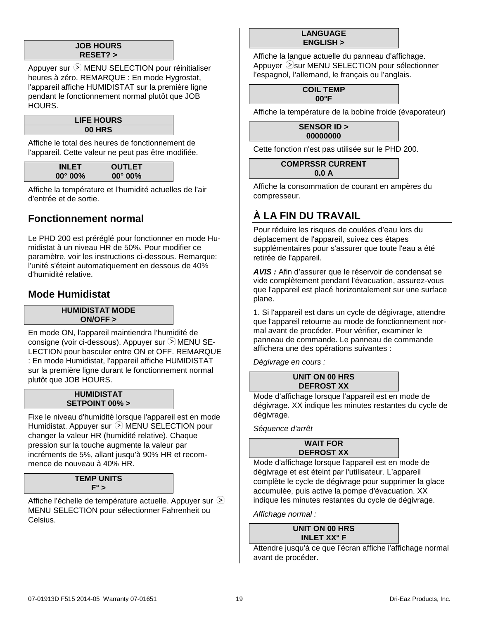#### **JOB HOURS RESET? >**

Appuyer sur  $\odot$  MENU SELECTION pour réinitialiser heures à zéro. REMARQUE : En mode Hygrostat, l'appareil affiche HUMIDISTAT sur la première ligne pendant le fonctionnement normal plutôt que JOB HOURS.

#### **LIFE HOURS 00 HRS**

Affiche le total des heures de fonctionnement de l'appareil. Cette valeur ne peut pas être modifiée.

| <b>INLET</b>      | <b>OUTLET</b>     |
|-------------------|-------------------|
| $00^{\circ} 00\%$ | $00^{\circ} 00\%$ |
|                   |                   |

Affiche la température et l'humidité actuelles de l'air d'entrée et de sortie.

# **Fonctionnement normal**

Le PHD 200 est préréglé pour fonctionner en mode Humidistat à un niveau HR de 50%. Pour modifier ce paramètre, voir les instructions ci-dessous. Remarque: l'unité s'éteint automatiquement en dessous de 40% d'humidité relative.

## **Mode Humidistat**

#### **HUMIDISTAT MODE ON/OFF >**

En mode ON, l'appareil maintiendra l'humidité de consigne (voir ci-dessous). Appuyer sur  $\odot$  MENU SE-LECTION pour basculer entre ON et OFF. REMARQUE : En mode Humidistat, l'appareil affiche HUMIDISTAT sur la première ligne durant le fonctionnement normal plutôt que JOB HOURS.

#### **HUMIDISTAT SETPOINT 00% >**

Fixe le niveau d'humidité lorsque l'appareil est en mode Humidistat. Appuyer sur  $\odot$  MENU SELECTION pour changer la valeur HR (humidité relative). Chaque pression sur la touche augmente la valeur par incréments de 5%, allant jusqu'à 90% HR et recommence de nouveau à 40% HR.

#### **TEMP UNITS F° >**

Affiche l'échelle de température actuelle. Appuyer sur  $\odot$ MENU SELECTION pour sélectionner Fahrenheit ou Celsius.

#### **LANGUAGE ENGLISH >**

Affiche la langue actuelle du panneau d'affichage. Appuyer  $\odot$ sur MENU SELECTION pour sélectionner l'espagnol, l'allemand, le français ou l'anglais.

> **COIL TEMP 00°F**

Affiche la température de la bobine froide (évaporateur)

**SENSOR ID > 00000000**

Cette fonction n'est pas utilisée sur le PHD 200.

**COMPRSSR CURRENT 0.0 A**

Affiche la consommation de courant en ampères du compresseur.

# <span id="page-18-0"></span>**À LA FIN DU TRAVAIL**

Pour réduire les risques de coulées d'eau lors du déplacement de l'appareil, suivez ces étapes supplémentaires pour s'assurer que toute l'eau a été retirée de l'appareil.

*AVIS :* Afin d'assurer que le réservoir de condensat se vide complètement pendant l'évacuation, assurez-vous que l'appareil est placé horizontalement sur une surface plane.

1. Si l'appareil est dans un cycle de dégivrage, attendre que l'appareil retourne au mode de fonctionnement normal avant de procéder. Pour vérifier, examiner le panneau de commande. Le panneau de commande affichera une des opérations suivantes :

*Dégivrage en cours :*

#### **UNIT ON 00 HRS DEFROST XX**

Mode d'affichage lorsque l'appareil est en mode de dégivrage. XX indique les minutes restantes du cycle de dégivrage.

*Séquence d'arrêt*

#### **WAIT FOR DEFROST XX**

Mode d'affichage lorsque l'appareil est en mode de dégivrage et est éteint par l'utilisateur. L'appareil complète le cycle de dégivrage pour supprimer la glace accumulée, puis active la pompe d'évacuation. XX indique les minutes restantes du cycle de dégivrage.

*Affichage normal :*

**UNIT ON 00 HRS INLET XX° F**

Attendre jusqu'à ce que l'écran affiche l'affichage normal avant de procéder.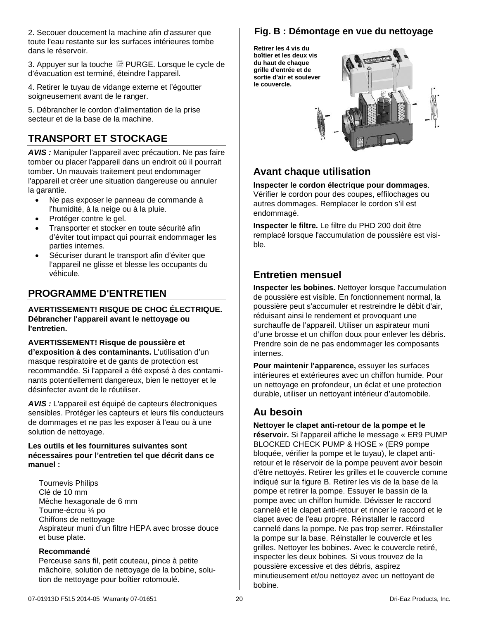2. Secouer doucement la machine afin d'assurer que toute l'eau restante sur les surfaces intérieures tombe dans le réservoir.

3. Appuyer sur la touche **PURGE.** Lorsque le cycle de d'évacuation est terminé, éteindre l'appareil.

4. Retirer le tuyau de vidange externe et l'égoutter soigneusement avant de le ranger.

5. Débrancher le cordon d'alimentation de la prise secteur et de la base de la machine.

# **TRANSPORT ET STOCKAGE**

*AVIS :* Manipuler l'appareil avec précaution. Ne pas faire tomber ou placer l'appareil dans un endroit où il pourrait tomber. Un mauvais traitement peut endommager l'appareil et créer une situation dangereuse ou annuler la garantie.

- Ne pas exposer le panneau de commande à l'humidité, à la neige ou à la pluie.
- Protéger contre le gel.
- Transporter et stocker en toute sécurité afin d'éviter tout impact qui pourrait endommager les parties internes.
- Sécuriser durant le transport afin d'éviter que l'appareil ne glisse et blesse les occupants du véhicule.

# **PROGRAMME D'ENTRETIEN**

**AVERTISSEMENT! RISQUE DE CHOC ÉLECTRIQUE. Débrancher l'appareil avant le nettoyage ou l'entretien.**

**AVERTISSEMENT! Risque de poussière et d'exposition à des contaminants.** L'utilisation d'un masque respiratoire et de gants de protection est recommandée. Si l'appareil a été exposé à des contaminants potentiellement dangereux, bien le nettoyer et le désinfecter avant de le réutiliser.

*AVIS :* L'appareil est équipé de capteurs électroniques sensibles. Protéger les capteurs et leurs fils conducteurs de dommages et ne pas les exposer à l'eau ou à une solution de nettoyage.

#### **Les outils et les fournitures suivantes sont nécessaires pour l'entretien tel que décrit dans ce manuel :**

Tournevis Philips Clé de 10 mm Mèche hexagonale de 6 mm Tourne-écrou ¼ po Chiffons de nettoyage Aspirateur muni d'un filtre HEPA avec brosse douce et buse plate.

#### **Recommandé**

Perceuse sans fil, petit couteau, pince à petite mâchoire, solution de nettoyage de la bobine, solution de nettoyage pour boîtier rotomoulé.

## **Fig. B : Démontage en vue du nettoyage**

**Retirer les 4 vis du boîtier et les deux vis du haut de chaque grille d'entrée et de sortie d'air et soulever le couvercle.**



# **Avant chaque utilisation**

**Inspecter le cordon électrique pour dommages**. Vérifier le cordon pour des coupes, effilochages ou autres dommages. Remplacer le cordon s'il est endommagé.

**Inspecter le filtre.** Le filtre du PHD 200 doit être remplacé lorsque l'accumulation de poussière est visible.

## **Entretien mensuel**

**Inspecter les bobines.** Nettoyer lorsque l'accumulation de poussière est visible. En fonctionnement normal, la poussière peut s'accumuler et restreindre le débit d'air, réduisant ainsi le rendement et provoquant une surchauffe de l'appareil. Utiliser un aspirateur muni d'une brosse et un chiffon doux pour enlever les débris. Prendre soin de ne pas endommager les composants internes.

**Pour maintenir l'apparence,** essuyer les surfaces intérieures et extérieures avec un chiffon humide. Pour un nettoyage en profondeur, un éclat et une protection durable, utiliser un nettoyant intérieur d'automobile.

## **Au besoin**

<span id="page-19-0"></span>**Nettoyer le clapet anti-retour de la pompe et le réservoir.** Si l'appareil affiche le message « ER9 PUMP BLOCKED CHECK PUMP & HOSE » (ER9 pompe bloquée, vérifier la pompe et le tuyau), le clapet antiretour et le réservoir de la pompe peuvent avoir besoin d'être nettoyés. Retirer les grilles et le couvercle comme indiqué sur la figure B. Retirer les vis de la base de la pompe et retirer la pompe. Essuyer le bassin de la pompe avec un chiffon humide. Dévisser le raccord cannelé et le clapet anti-retour et rincer le raccord et le clapet avec de l'eau propre. Réinstaller le raccord cannelé dans la pompe. Ne pas trop serrer. Réinstaller la pompe sur la base. Réinstaller le couvercle et les grilles. Nettoyer les bobines. Avec le couvercle retiré, inspecter les deux bobines. Si vous trouvez de la poussière excessive et des débris, aspirez minutieusement et/ou nettoyez avec un nettoyant de bobine.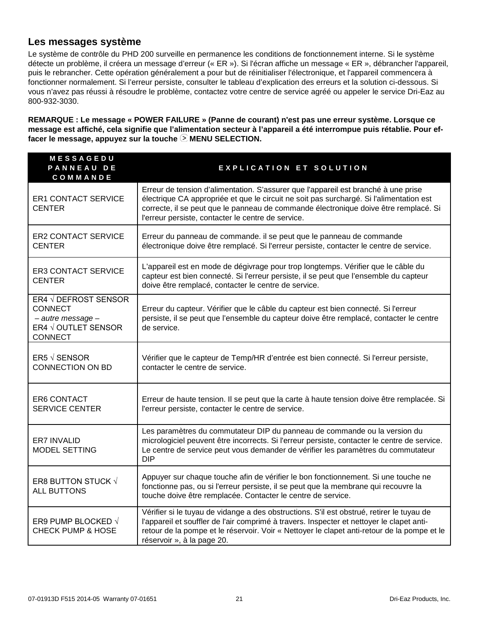## **Les messages système**

Le système de contrôle du PHD 200 surveille en permanence les conditions de fonctionnement interne. Si le système détecte un problème, il créera un message d'erreur (« ER »). Si l'écran affiche un message « ER », débrancher l'appareil, puis le rebrancher. Cette opération généralement a pour but de réinitialiser l'électronique, et l'appareil commencera à fonctionner normalement. Si l'erreur persiste, consulter le tableau d'explication des erreurs et la solution ci-dessous. Si vous n'avez pas réussi à résoudre le problème, contactez votre centre de service agréé ou appeler le service Dri-Eaz au 800-932-3030.

**REMARQUE : Le message « POWER FAILURE » (Panne de courant) n'est pas une erreur système. Lorsque ce message est affiché, cela signifie que l'alimentation secteur à l'appareil a été interrompue puis rétablie. Pour ef**facer le message, appuyez sur la touche  $\odot$  MENU SELECTION.

| MESSAGEDU<br><b>PANNEAU DE</b><br>COMMANDE                                                           | <b>EXPLICATION ET SOLUTION</b>                                                                                                                                                                                                                                                                                              |
|------------------------------------------------------------------------------------------------------|-----------------------------------------------------------------------------------------------------------------------------------------------------------------------------------------------------------------------------------------------------------------------------------------------------------------------------|
| <b>ER1 CONTACT SERVICE</b><br><b>CENTER</b>                                                          | Erreur de tension d'alimentation. S'assurer que l'appareil est branché à une prise<br>électrique CA appropriée et que le circuit ne soit pas surchargé. Si l'alimentation est<br>correcte, il se peut que le panneau de commande électronique doive être remplacé. Si<br>l'erreur persiste, contacter le centre de service. |
| <b>ER2 CONTACT SERVICE</b><br><b>CENTER</b>                                                          | Erreur du panneau de commande. il se peut que le panneau de commande<br>électronique doive être remplacé. Si l'erreur persiste, contacter le centre de service.                                                                                                                                                             |
| <b>ER3 CONTACT SERVICE</b><br><b>CENTER</b>                                                          | L'appareil est en mode de dégivrage pour trop longtemps. Vérifier que le câble du<br>capteur est bien connecté. Si l'erreur persiste, il se peut que l'ensemble du capteur<br>doive être remplacé, contacter le centre de service.                                                                                          |
| ER4 √ DEFROST SENSOR<br><b>CONNECT</b><br>- autre message -<br>ER4 √ OUTLET SENSOR<br><b>CONNECT</b> | Erreur du capteur. Vérifier que le câble du capteur est bien connecté. Si l'erreur<br>persiste, il se peut que l'ensemble du capteur doive être remplacé, contacter le centre<br>de service.                                                                                                                                |
| ER5 $\sqrt$ SENSOR<br><b>CONNECTION ON BD</b>                                                        | Vérifier que le capteur de Temp/HR d'entrée est bien connecté. Si l'erreur persiste,<br>contacter le centre de service.                                                                                                                                                                                                     |
| <b>ER6 CONTACT</b><br><b>SERVICE CENTER</b>                                                          | Erreur de haute tension. Il se peut que la carte à haute tension doive être remplacée. Si<br>l'erreur persiste, contacter le centre de service.                                                                                                                                                                             |
| ER7 INVALID<br>MODEL SETTING                                                                         | Les paramètres du commutateur DIP du panneau de commande ou la version du<br>micrologiciel peuvent être incorrects. Si l'erreur persiste, contacter le centre de service.<br>Le centre de service peut vous demander de vérifier les paramètres du commutateur<br><b>DIP</b>                                                |
| ER8 BUTTON STUCK √<br><b>ALL BUTTONS</b>                                                             | Appuyer sur chaque touche afin de vérifier le bon fonctionnement. Si une touche ne<br>fonctionne pas, ou si l'erreur persiste, il se peut que la membrane qui recouvre la<br>touche doive être remplacée. Contacter le centre de service.                                                                                   |
| ER9 PUMP BLOCKED √<br><b>CHECK PUMP &amp; HOSE</b>                                                   | Vérifier si le tuyau de vidange a des obstructions. S'il est obstrué, retirer le tuyau de<br>l'appareil et souffler de l'air comprimé à travers. Inspecter et nettoyer le clapet anti-<br>retour de la pompe et le réservoir. Voir « Nettoyer le clapet anti-retour de la pompe et le<br>réservoir », à la page 20.         |